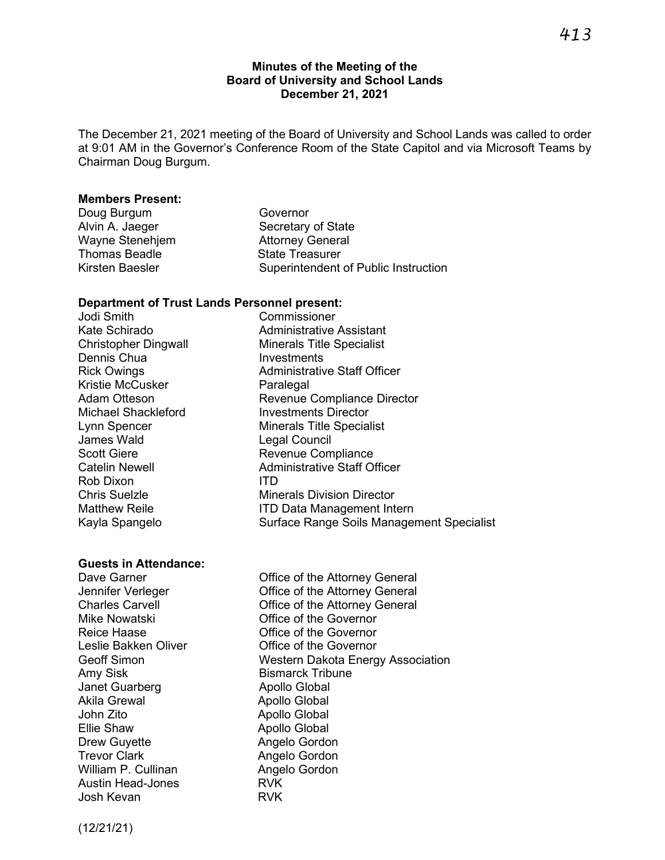### **Minutes of the Meeting of the Board of University and School Lands December 21, 2021**

The December 21, 2021 meeting of the Board of University and School Lands was called to order at 9:01 AM in the Governor's Conference Room of the State Capitol and via Microsoft Teams by Chairman Doug Burgum.

#### **Members Present:**

| Doug Burgum     | Governor                             |
|-----------------|--------------------------------------|
| Alvin A. Jaeger | Secretary of State                   |
| Wayne Stenehjem | <b>Attorney General</b>              |
| Thomas Beadle   | <b>State Treasurer</b>               |
| Kirsten Baesler | Superintendent of Public Instruction |
|                 |                                      |

Legal Council

### **Department of Trust Lands Personnel present:**

Jodi Smith Commissioner Kate Schirado **Administrative Assistant** Christopher Dingwall Minerals Title Specialist Dennis Chua **Investments** Rick Owings **Administrative Staff Officer** Kristie McCusker **Paralegal** Adam Otteson **Revenue Compliance Director** Michael Shackleford **Investments Director** Lynn Spencer and Minerals Title Specialist<br>James Wald Mineral Council Scott Giere **Revenue Compliance** Catelin Newell **Administrative Staff Officer** Rob Dixon ITD **Chris Suelzle Minerals Division Director** Matthew Reile **ITD Data Management Intern** Kayla Spangelo Surface Range Soils Management Specialist

### **Guests in Attendance:**

Amy Sisk Bismarck Tribune Janet Guarberg **Apollo Global** Akila Grewal **Abollo** Global John Zito **Apollo Global** Ellie Shaw **Apollo Global** Drew Guyette **Angelo Gordon** Trevor Clark **Angelo Gordon** William P. Cullinan **Angelo Gordon** Austin Head-Jones **RVK** Josh Kevan RVK

Dave Garner **Dave Garner** Office of the Attorney General Jennifer Verleger **Conservance Conservance Conservance Conservance Conservance Conservance Conservance Conservance Conservance Conservance Conservance Conservance Conservance Conservance Conservance Conservance Conservance** Charles Carvell Office of the Attorney General Mike Nowatski Office of the Governor Reice Haase **Confluence Confluence Haase**<br>
Leslie Bakken Oliver **Confluence Confluence Confluence Confluence** Confluence Leslie Bakken Office of the Governor Geoff Simon **Western Dakota Energy Association** 

(12/21/21)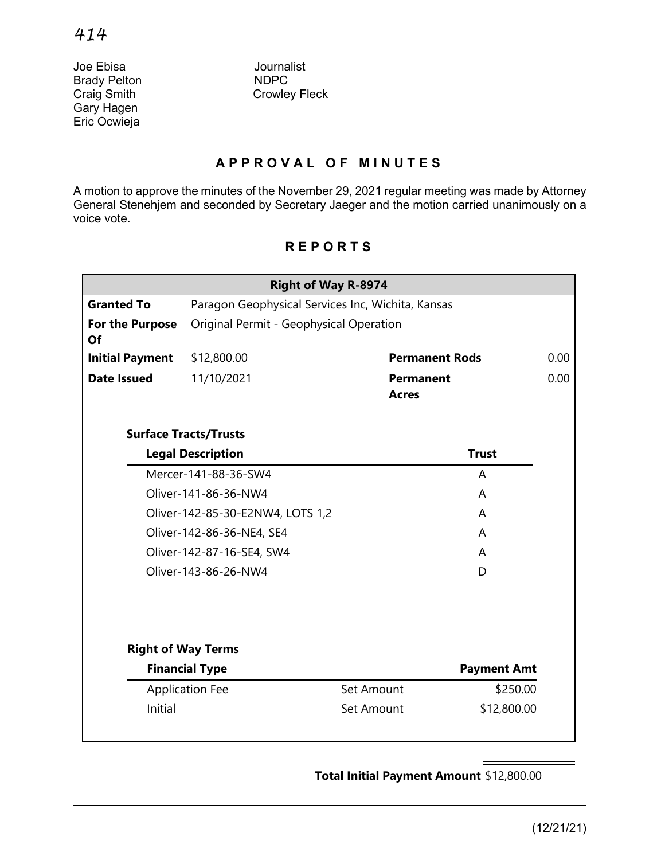Joe Ebisa Journalist **Brady Pelton** Gary Hagen Eric Ocwieja

Craig Smith Crowley Fleck

# **APPROVAL OF MINUTES**

A motion to approve the minutes of the November 29, 2021 regular meeting was made by Attorney General Stenehjem and seconded by Secretary Jaeger and the motion carried unanimously on a voice vote.

# **Right of Way R-8974 Granted To** Paragon Geophysical Services Inc, Wichita, Kansas **For the Purpose Of** Original Permit - Geophysical Operation **Initial Payment** \$12,800.00 **Permanent Rods** 0.00 **Date Issued** 11/10/2021 **Permanent Acres** 0.00 **Surface Tracts/Trusts Legal Description Trust** Mercer-141-88-36-SW4 A Oliver-141-86-36-NW4 A Oliver-142-85-30-E2NW4, LOTS 1,2 A Oliver-142-86-36-NE4, SE4 A Oliver-142-87-16-SE4, SW4 A Oliver-143-86-26-NW4 D **Right of Way Terms Financial Type Payment Amt** Application Fee Set Amount \$250.00 Initial Set Amount \$12,800.00

# **REPORTS**

**Total Initial Payment Amount** \$12,800.00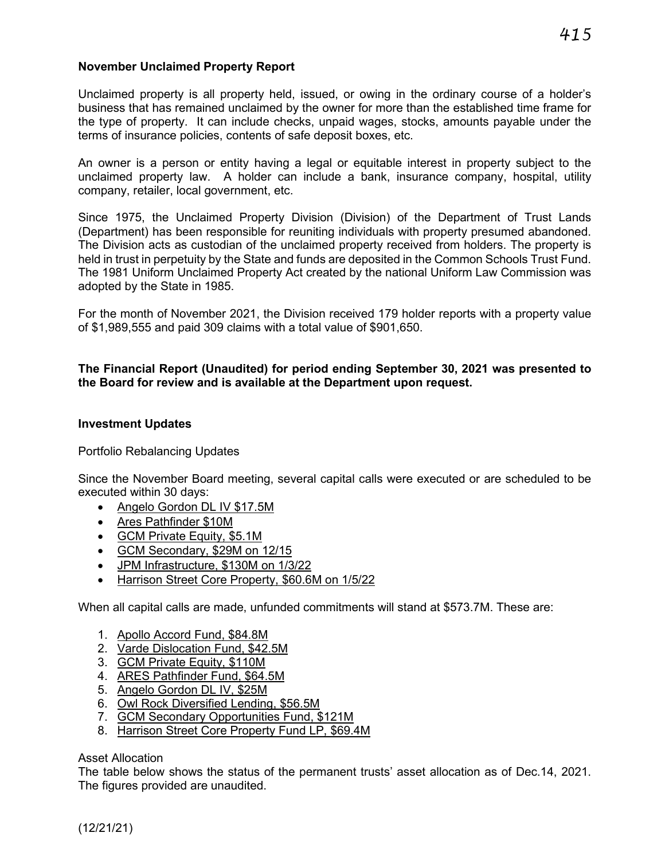## **November Unclaimed Property Report**

Unclaimed property is all property held, issued, or owing in the ordinary course of a holder's business that has remained unclaimed by the owner for more than the established time frame for the type of property. It can include checks, unpaid wages, stocks, amounts payable under the terms of insurance policies, contents of safe deposit boxes, etc.

An owner is a person or entity having a legal or equitable interest in property subject to the unclaimed property law. A holder can include a bank, insurance company, hospital, utility company, retailer, local government, etc.

Since 1975, the Unclaimed Property Division (Division) of the Department of Trust Lands (Department) has been responsible for reuniting individuals with property presumed abandoned. The Division acts as custodian of the unclaimed property received from holders. The property is held in trust in perpetuity by the State and funds are deposited in the Common Schools Trust Fund. The 1981 Uniform Unclaimed Property Act created by the national Uniform Law Commission was adopted by the State in 1985.

For the month of November 2021, the Division received 179 holder reports with a property value of \$1,989,555 and paid 309 claims with a total value of \$901,650.

## **The Financial Report (Unaudited) for period ending September 30, 2021 was presented to the Board for review and is available at the Department upon request.**

### **Investment Updates**

Portfolio Rebalancing Updates

Since the November Board meeting, several capital calls were executed or are scheduled to be executed within 30 days:

- Angelo Gordon DL IV \$17.5M
- Ares Pathfinder \$10M
- GCM Private Equity, \$5.1M
- GCM Secondary, \$29M on 12/15
- JPM Infrastructure, \$130M on 1/3/22
- Harrison Street Core Property, \$60.6M on 1/5/22

When all capital calls are made, unfunded commitments will stand at \$573.7M. These are:

- 1. Apollo Accord Fund, \$84.8M
- 2. Varde Dislocation Fund, \$42.5M
- 3. GCM Private Equity, \$110M
- 4. ARES Pathfinder Fund, \$64.5M
- 5. Angelo Gordon DL IV, \$25M
- 6. Owl Rock Diversified Lending, \$56.5M
- 7. GCM Secondary Opportunities Fund, \$121M
- 8. Harrison Street Core Property Fund LP, \$69.4M

### Asset Allocation

The table below shows the status of the permanent trusts' asset allocation as of Dec.14, 2021. The figures provided are unaudited.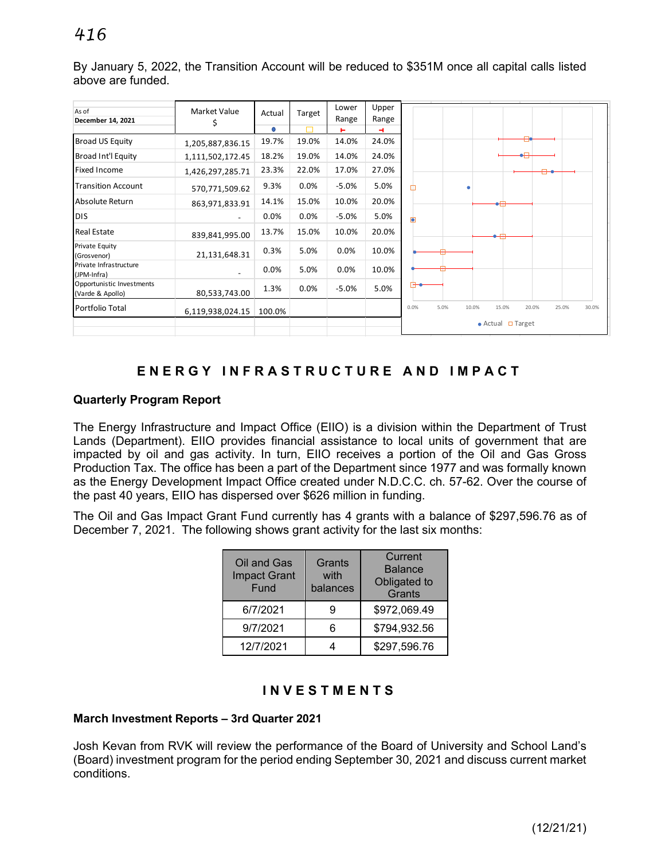By January 5, 2022, the Transition Account will be reduced to \$351M once all capital calls listed above are funded.

| As of<br>December 14, 2021                    | Market Value<br>Ş | Actual | Target | Lower<br>Range | Upper<br>Range |                                                           |
|-----------------------------------------------|-------------------|--------|--------|----------------|----------------|-----------------------------------------------------------|
|                                               |                   | Ο      |        | ь              | 4.             |                                                           |
| Broad US Equity                               | 1,205,887,836.15  | 19.7%  | 19.0%  | 14.0%          | 24.0%          |                                                           |
| Broad Int'l Equity                            | 1,111,502,172.45  | 18.2%  | 19.0%  | 14.0%          | 24.0%          |                                                           |
| <b>Fixed Income</b>                           | 1,426,297,285.71  | 23.3%  | 22.0%  | 17.0%          | 27.0%          |                                                           |
| <b>Transition Account</b>                     | 570,771,509.62    | 9.3%   | 0.0%   | $-5.0%$        | 5.0%           | П                                                         |
| Absolute Return                               | 863,971,833.91    | 14.1%  | 15.0%  | 10.0%          | 20.0%          |                                                           |
| ldis.                                         |                   | 0.0%   | 0.0%   | $-5.0%$        | 5.0%           | Ō                                                         |
| <b>Real Estate</b>                            | 839,841,995.00    | 13.7%  | 15.0%  | 10.0%          | 20.0%          |                                                           |
| <b>Private Equity</b><br>(Grosvenor)          | 21,131,648.31     | 0.3%   | 5.0%   | 0.0%           | 10.0%          |                                                           |
| Private Infrastructure<br>(JPM-Infra)         |                   | 0.0%   | 5.0%   | 0.0%           | 10.0%          |                                                           |
| Opportunistic Investments<br>(Varde & Apollo) | 80,533,743.00     | 1.3%   | 0.0%   | $-5.0%$        | 5.0%           |                                                           |
| Portfolio Total                               | 6,119,938,024.15  | 100.0% |        |                |                | 0.0%<br>5.0%<br>10.0%<br>15.0%<br>20.0%<br>25.0%<br>30.0% |
|                                               |                   |        |        |                |                | $\bullet$ Actual $\Box$ Target                            |

# **ENERGY INFRASTRUCTURE AND IMPACT**

## **Quarterly Program Report**

The Energy Infrastructure and Impact Office (EIIO) is a division within the Department of Trust Lands (Department). EIIO provides financial assistance to local units of government that are impacted by oil and gas activity. In turn, EIIO receives a portion of the Oil and Gas Gross Production Tax. The office has been a part of the Department since 1977 and was formally known as the Energy Development Impact Office created under N.D.C.C. ch. 57-62. Over the course of the past 40 years, EIIO has dispersed over \$626 million in funding.

The Oil and Gas Impact Grant Fund currently has 4 grants with a balance of \$297,596.76 as of December 7, 2021. The following shows grant activity for the last six months:

| Oil and Gas<br><b>Impact Grant</b><br>Fund | Grants<br>with<br>balances | Current<br><b>Balance</b><br>Obligated to<br>Grants |
|--------------------------------------------|----------------------------|-----------------------------------------------------|
| 6/7/2021                                   |                            | \$972,069.49                                        |
| 9/7/2021                                   |                            | \$794,932.56                                        |
| 12/7/2021                                  |                            | \$297,596.76                                        |

# **INVESTMENTS**

### **March Investment Reports – 3rd Quarter 2021**

Josh Kevan from RVK will review the performance of the Board of University and School Land's (Board) investment program for the period ending September 30, 2021 and discuss current market conditions.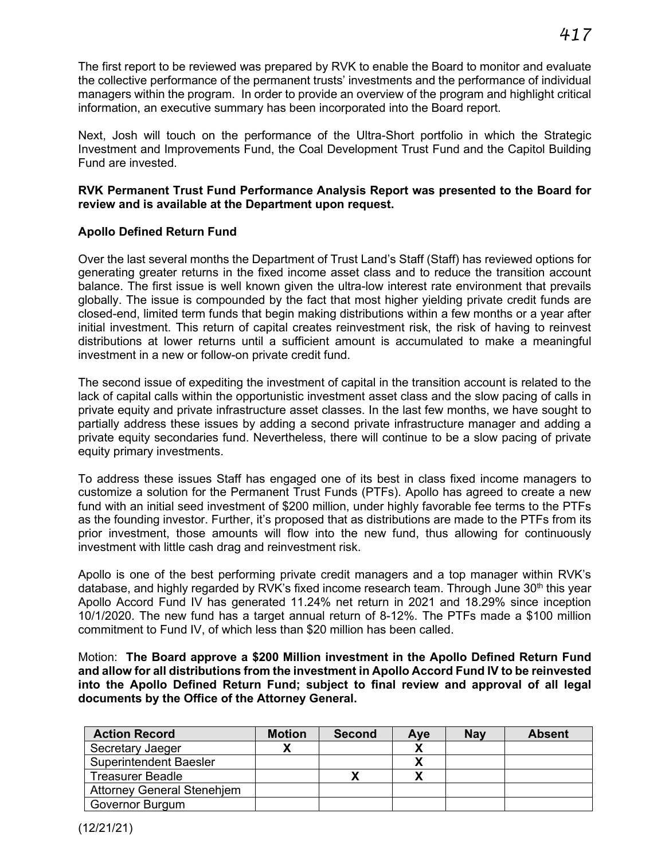The first report to be reviewed was prepared by RVK to enable the Board to monitor and evaluate the collective performance of the permanent trusts' investments and the performance of individual managers within the program. In order to provide an overview of the program and highlight critical information, an executive summary has been incorporated into the Board report.

Next, Josh will touch on the performance of the Ultra-Short portfolio in which the Strategic Investment and Improvements Fund, the Coal Development Trust Fund and the Capitol Building Fund are invested.

### **RVK Permanent Trust Fund Performance Analysis Report was presented to the Board for review and is available at the Department upon request.**

## **Apollo Defined Return Fund**

Over the last several months the Department of Trust Land's Staff (Staff) has reviewed options for generating greater returns in the fixed income asset class and to reduce the transition account balance. The first issue is well known given the ultra-low interest rate environment that prevails globally. The issue is compounded by the fact that most higher yielding private credit funds are closed-end, limited term funds that begin making distributions within a few months or a year after initial investment. This return of capital creates reinvestment risk, the risk of having to reinvest distributions at lower returns until a sufficient amount is accumulated to make a meaningful investment in a new or follow-on private credit fund.

The second issue of expediting the investment of capital in the transition account is related to the lack of capital calls within the opportunistic investment asset class and the slow pacing of calls in private equity and private infrastructure asset classes. In the last few months, we have sought to partially address these issues by adding a second private infrastructure manager and adding a private equity secondaries fund. Nevertheless, there will continue to be a slow pacing of private equity primary investments.

To address these issues Staff has engaged one of its best in class fixed income managers to customize a solution for the Permanent Trust Funds (PTFs). Apollo has agreed to create a new fund with an initial seed investment of \$200 million, under highly favorable fee terms to the PTFs as the founding investor. Further, it's proposed that as distributions are made to the PTFs from its prior investment, those amounts will flow into the new fund, thus allowing for continuously investment with little cash drag and reinvestment risk.

Apollo is one of the best performing private credit managers and a top manager within RVK's database, and highly regarded by RVK's fixed income research team. Through June  $30<sup>th</sup>$  this year Apollo Accord Fund IV has generated 11.24% net return in 2021 and 18.29% since inception 10/1/2020. The new fund has a target annual return of 8-12%. The PTFs made a \$100 million commitment to Fund IV, of which less than \$20 million has been called.

Motion: **The Board approve a \$200 Million investment in the Apollo Defined Return Fund and allow for all distributions from the investment in Apollo Accord Fund IV to be reinvested into the Apollo Defined Return Fund; subject to final review and approval of all legal documents by the Office of the Attorney General.**

| <b>Action Record</b>              | <b>Motion</b> | <b>Second</b> | Ave | <b>Nay</b> | <b>Absent</b> |
|-----------------------------------|---------------|---------------|-----|------------|---------------|
| Secretary Jaeger                  |               |               |     |            |               |
| <b>Superintendent Baesler</b>     |               |               |     |            |               |
| <b>Treasurer Beadle</b>           |               |               |     |            |               |
| <b>Attorney General Stenehjem</b> |               |               |     |            |               |
| Governor Burgum                   |               |               |     |            |               |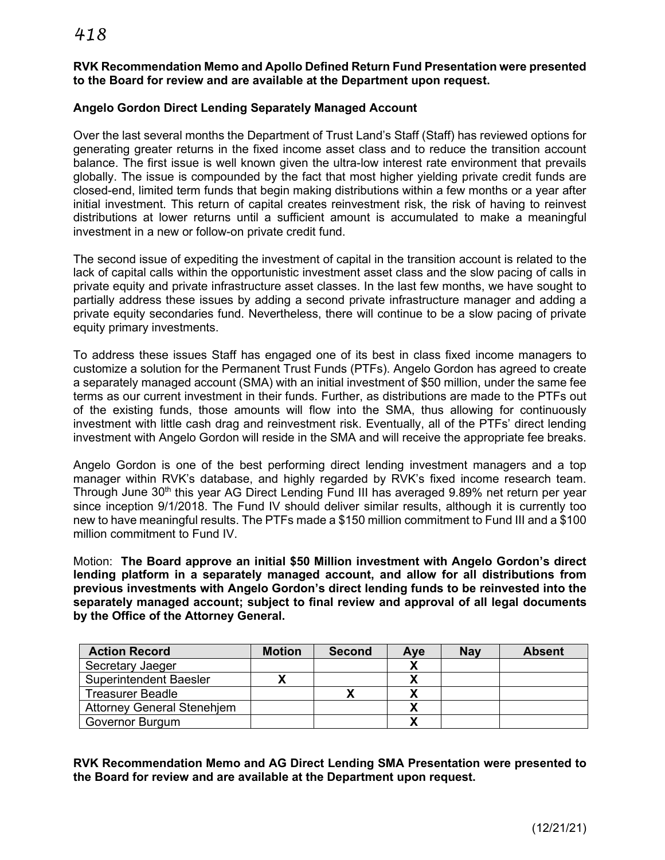## **RVK Recommendation Memo and Apollo Defined Return Fund Presentation were presented to the Board for review and are available at the Department upon request.**

# **Angelo Gordon Direct Lending Separately Managed Account**

Over the last several months the Department of Trust Land's Staff (Staff) has reviewed options for generating greater returns in the fixed income asset class and to reduce the transition account balance. The first issue is well known given the ultra-low interest rate environment that prevails globally. The issue is compounded by the fact that most higher yielding private credit funds are closed-end, limited term funds that begin making distributions within a few months or a year after initial investment. This return of capital creates reinvestment risk, the risk of having to reinvest distributions at lower returns until a sufficient amount is accumulated to make a meaningful investment in a new or follow-on private credit fund.

The second issue of expediting the investment of capital in the transition account is related to the lack of capital calls within the opportunistic investment asset class and the slow pacing of calls in private equity and private infrastructure asset classes. In the last few months, we have sought to partially address these issues by adding a second private infrastructure manager and adding a private equity secondaries fund. Nevertheless, there will continue to be a slow pacing of private equity primary investments.

To address these issues Staff has engaged one of its best in class fixed income managers to customize a solution for the Permanent Trust Funds (PTFs). Angelo Gordon has agreed to create a separately managed account (SMA) with an initial investment of \$50 million, under the same fee terms as our current investment in their funds. Further, as distributions are made to the PTFs out of the existing funds, those amounts will flow into the SMA, thus allowing for continuously investment with little cash drag and reinvestment risk. Eventually, all of the PTFs' direct lending investment with Angelo Gordon will reside in the SMA and will receive the appropriate fee breaks.

Angelo Gordon is one of the best performing direct lending investment managers and a top manager within RVK's database, and highly regarded by RVK's fixed income research team. Through June 30<sup>th</sup> this year AG Direct Lending Fund III has averaged 9.89% net return per year since inception 9/1/2018. The Fund IV should deliver similar results, although it is currently too new to have meaningful results. The PTFs made a \$150 million commitment to Fund III and a \$100 million commitment to Fund IV.

Motion: **The Board approve an initial \$50 Million investment with Angelo Gordon's direct lending platform in a separately managed account, and allow for all distributions from previous investments with Angelo Gordon's direct lending funds to be reinvested into the separately managed account; subject to final review and approval of all legal documents by the Office of the Attorney General.**

| <b>Action Record</b>              | <b>Motion</b> | <b>Second</b> | Aye | <b>Nay</b> | <b>Absent</b> |
|-----------------------------------|---------------|---------------|-----|------------|---------------|
| Secretary Jaeger                  |               |               |     |            |               |
| <b>Superintendent Baesler</b>     |               |               |     |            |               |
| <b>Treasurer Beadle</b>           |               |               |     |            |               |
| <b>Attorney General Stenehjem</b> |               |               |     |            |               |
| Governor Burgum                   |               |               |     |            |               |

**RVK Recommendation Memo and AG Direct Lending SMA Presentation were presented to the Board for review and are available at the Department upon request.**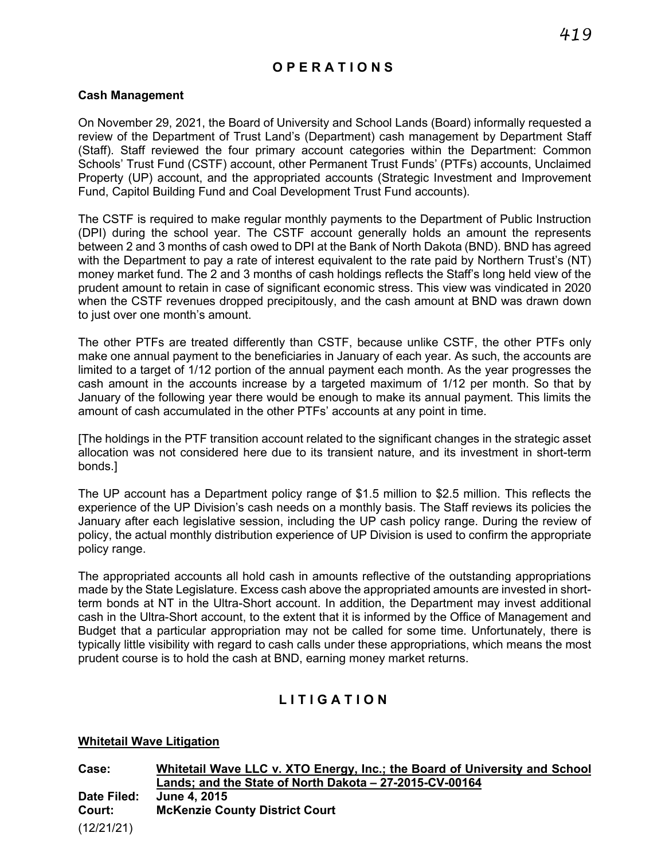# **O P E RATION S**

### **Cash Management**

On November 29, 2021, the Board of University and School Lands (Board) informally requested a review of the Department of Trust Land's (Department) cash management by Department Staff (Staff). Staff reviewed the four primary account categories within the Department: Common Schools' Trust Fund (CSTF) account, other Permanent Trust Funds' (PTFs) accounts, Unclaimed Property (UP) account, and the appropriated accounts (Strategic Investment and Improvement Fund, Capitol Building Fund and Coal Development Trust Fund accounts).

The CSTF is required to make regular monthly payments to the Department of Public Instruction (DPI) during the school year. The CSTF account generally holds an amount the represents between 2 and 3 months of cash owed to DPI at the Bank of North Dakota (BND). BND has agreed with the Department to pay a rate of interest equivalent to the rate paid by Northern Trust's (NT) money market fund. The 2 and 3 months of cash holdings reflects the Staff's long held view of the prudent amount to retain in case of significant economic stress. This view was vindicated in 2020 when the CSTF revenues dropped precipitously, and the cash amount at BND was drawn down to just over one month's amount.

The other PTFs are treated differently than CSTF, because unlike CSTF, the other PTFs only make one annual payment to the beneficiaries in January of each year. As such, the accounts are limited to a target of 1/12 portion of the annual payment each month. As the year progresses the cash amount in the accounts increase by a targeted maximum of 1/12 per month. So that by January of the following year there would be enough to make its annual payment. This limits the amount of cash accumulated in the other PTFs' accounts at any point in time.

[The holdings in the PTF transition account related to the significant changes in the strategic asset allocation was not considered here due to its transient nature, and its investment in short-term bonds.]

The UP account has a Department policy range of \$1.5 million to \$2.5 million. This reflects the experience of the UP Division's cash needs on a monthly basis. The Staff reviews its policies the January after each legislative session, including the UP cash policy range. During the review of policy, the actual monthly distribution experience of UP Division is used to confirm the appropriate policy range.

The appropriated accounts all hold cash in amounts reflective of the outstanding appropriations made by the State Legislature. Excess cash above the appropriated amounts are invested in shortterm bonds at NT in the Ultra-Short account. In addition, the Department may invest additional cash in the Ultra-Short account, to the extent that it is informed by the Office of Management and Budget that a particular appropriation may not be called for some time. Unfortunately, there is typically little visibility with regard to cash calls under these appropriations, which means the most prudent course is to hold the cash at BND, earning money market returns.

# **LITIGATION**

#### **Whitetail Wave Litigation**

(12/21/21) **Case: Whitetail Wave LLC v. XTO Energy, Inc.; the Board of University and School Lands; and the State of North Dakota – 27-2015-CV-00164 Date Filed: June 4, 2015 Court: McKenzie County District Court**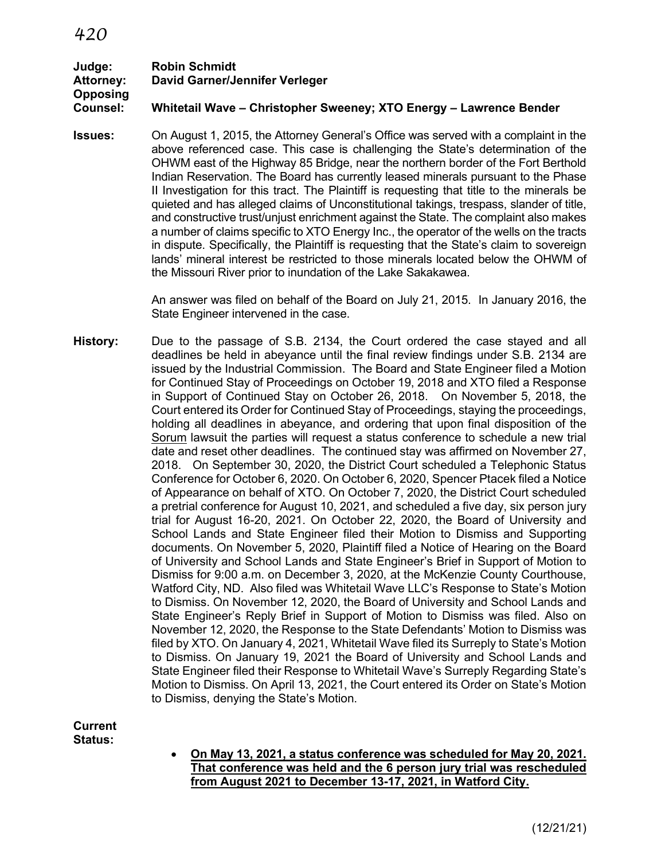### **Judge: Robin Schmidt Attorney: David Garner/Jennifer Verleger Opposing Counsel: Whitetail Wave – Christopher Sweeney; XTO Energy – Lawrence Bender**

**Issues:** On August 1, 2015, the Attorney General's Office was served with a complaint in the above referenced case. This case is challenging the State's determination of the OHWM east of the Highway 85 Bridge, near the northern border of the Fort Berthold Indian Reservation. The Board has currently leased minerals pursuant to the Phase II Investigation for this tract. The Plaintiff is requesting that title to the minerals be quieted and has alleged claims of Unconstitutional takings, trespass, slander of title, and constructive trust/unjust enrichment against the State. The complaint also makes a number of claims specific to XTO Energy Inc., the operator of the wells on the tracts in dispute. Specifically, the Plaintiff is requesting that the State's claim to sovereign lands' mineral interest be restricted to those minerals located below the OHWM of the Missouri River prior to inundation of the Lake Sakakawea.

> An answer was filed on behalf of the Board on July 21, 2015. In January 2016, the State Engineer intervened in the case.

**History:** Due to the passage of S.B. 2134, the Court ordered the case stayed and all deadlines be held in abeyance until the final review findings under S.B. 2134 are issued by the Industrial Commission. The Board and State Engineer filed a Motion for Continued Stay of Proceedings on October 19, 2018 and XTO filed a Response in Support of Continued Stay on October 26, 2018. On November 5, 2018, the Court entered its Order for Continued Stay of Proceedings, staying the proceedings, holding all deadlines in abeyance, and ordering that upon final disposition of the Sorum lawsuit the parties will request a status conference to schedule a new trial date and reset other deadlines. The continued stay was affirmed on November 27, 2018. On September 30, 2020, the District Court scheduled a Telephonic Status Conference for October 6, 2020. On October 6, 2020, Spencer Ptacek filed a Notice of Appearance on behalf of XTO. On October 7, 2020, the District Court scheduled a pretrial conference for August 10, 2021, and scheduled a five day, six person jury trial for August 16-20, 2021. On October 22, 2020, the Board of University and School Lands and State Engineer filed their Motion to Dismiss and Supporting documents. On November 5, 2020, Plaintiff filed a Notice of Hearing on the Board of University and School Lands and State Engineer's Brief in Support of Motion to Dismiss for 9:00 a.m. on December 3, 2020, at the McKenzie County Courthouse, Watford City, ND. Also filed was Whitetail Wave LLC's Response to State's Motion to Dismiss. On November 12, 2020, the Board of University and School Lands and State Engineer's Reply Brief in Support of Motion to Dismiss was filed. Also on November 12, 2020, the Response to the State Defendants' Motion to Dismiss was filed by XTO. On January 4, 2021, Whitetail Wave filed its Surreply to State's Motion to Dismiss. On January 19, 2021 the Board of University and School Lands and State Engineer filed their Response to Whitetail Wave's Surreply Regarding State's Motion to Dismiss. On April 13, 2021, the Court entered its Order on State's Motion to Dismiss, denying the State's Motion.

**Current Status:**

• **On May 13, 2021, a status conference was scheduled for May 20, 2021. That conference was held and the 6 person jury trial was rescheduled from August 2021 to December 13-17, 2021, in Watford City.**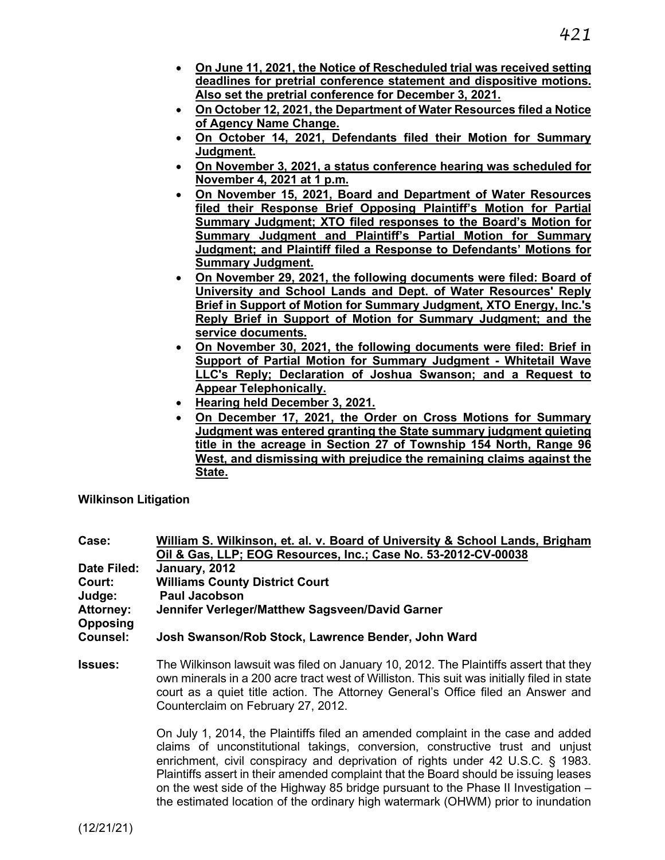- **On June 11, 2021, the Notice of Rescheduled trial was received setting deadlines for pretrial conference statement and dispositive motions. Also set the pretrial conference for December 3, 2021.**
- **On October 12, 2021, the Department of Water Resources filed a Notice of Agency Name Change.**
- **On October 14, 2021, Defendants filed their Motion for Summary Judgment.**
- **On November 3, 2021, a status conference hearing was scheduled for November 4, 2021 at 1 p.m.**
- **On November 15, 2021, Board and Department of Water Resources filed their Response Brief Opposing Plaintiff's Motion for Partial Summary Judgment; XTO filed responses to the Board's Motion for Summary Judgment and Plaintiff's Partial Motion for Summary Judgment; and Plaintiff filed a Response to Defendants' Motions for Summary Judgment.**
- **On November 29, 2021, the following documents were filed: Board of University and School Lands and Dept. of Water Resources' Reply Brief in Support of Motion for Summary Judgment, XTO Energy, Inc.'s Reply Brief in Support of Motion for Summary Judgment; and the service documents.**
- **On November 30, 2021, the following documents were filed: Brief in Support of Partial Motion for Summary Judgment - Whitetail Wave LLC's Reply; Declaration of Joshua Swanson; and a Request to Appear Telephonically.**
- **Hearing held December 3, 2021.**
- **On December 17, 2021, the Order on Cross Motions for Summary Judgment was entered granting the State summary judgment quieting title in the acreage in Section 27 of Township 154 North, Range 96 West, and dismissing with prejudice the remaining claims against the State.**

**Wilkinson Litigation**

**Case: William S. Wilkinson, et. al. v. Board of University & School Lands, Brigham Oil & Gas, LLP; EOG Resources, Inc.; Case No. 53-2012-CV-00038 Date Filed: January, 2012 Court: Williams County District Court Judge: Paul Jacobson Attorney: Jennifer Verleger/Matthew Sagsveen/David Garner Opposing Counsel: Josh Swanson/Rob Stock, Lawrence Bender, John Ward**

**Issues:** The Wilkinson lawsuit was filed on January 10, 2012. The Plaintiffs assert that they own minerals in a 200 acre tract west of Williston. This suit was initially filed in state court as a quiet title action. The Attorney General's Office filed an Answer and Counterclaim on February 27, 2012.

> On July 1, 2014, the Plaintiffs filed an amended complaint in the case and added claims of unconstitutional takings, conversion, constructive trust and unjust enrichment, civil conspiracy and deprivation of rights under 42 U.S.C. § 1983. Plaintiffs assert in their amended complaint that the Board should be issuing leases on the west side of the Highway 85 bridge pursuant to the Phase II Investigation – the estimated location of the ordinary high watermark (OHWM) prior to inundation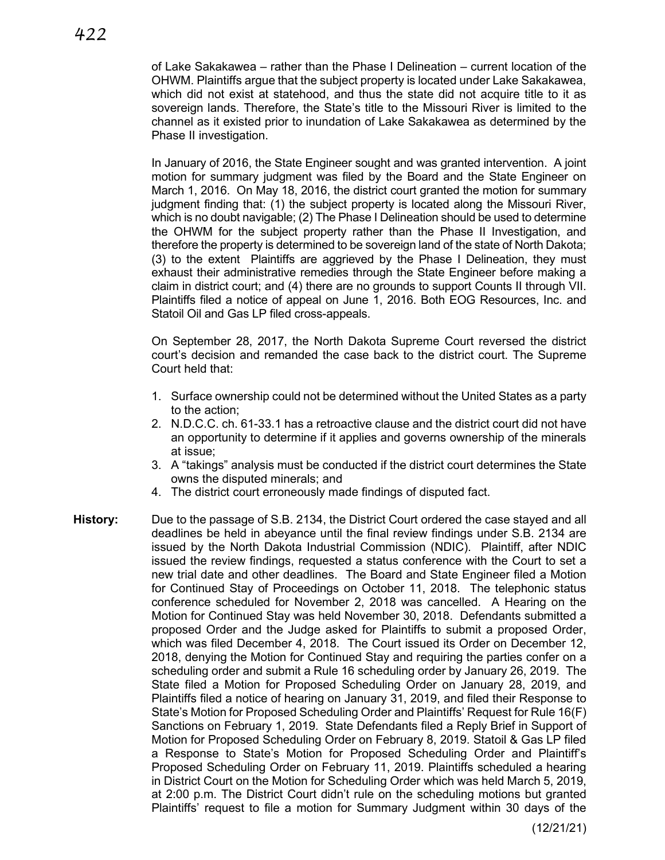of Lake Sakakawea – rather than the Phase I Delineation – current location of the OHWM. Plaintiffs argue that the subject property is located under Lake Sakakawea, which did not exist at statehood, and thus the state did not acquire title to it as sovereign lands. Therefore, the State's title to the Missouri River is limited to the channel as it existed prior to inundation of Lake Sakakawea as determined by the Phase II investigation.

In January of 2016, the State Engineer sought and was granted intervention. A joint motion for summary judgment was filed by the Board and the State Engineer on March 1, 2016. On May 18, 2016, the district court granted the motion for summary judgment finding that: (1) the subject property is located along the Missouri River, which is no doubt navigable; (2) The Phase I Delineation should be used to determine the OHWM for the subject property rather than the Phase II Investigation, and therefore the property is determined to be sovereign land of the state of North Dakota; (3) to the extent Plaintiffs are aggrieved by the Phase I Delineation, they must exhaust their administrative remedies through the State Engineer before making a claim in district court; and (4) there are no grounds to support Counts II through VII. Plaintiffs filed a notice of appeal on June 1, 2016. Both EOG Resources, Inc. and Statoil Oil and Gas LP filed cross-appeals.

On September 28, 2017, the North Dakota Supreme Court reversed the district court's decision and remanded the case back to the district court. The Supreme Court held that:

- 1. Surface ownership could not be determined without the United States as a party to the action;
- 2. N.D.C.C. ch. 61-33.1 has a retroactive clause and the district court did not have an opportunity to determine if it applies and governs ownership of the minerals at issue;
- 3. A "takings" analysis must be conducted if the district court determines the State owns the disputed minerals; and
- 4. The district court erroneously made findings of disputed fact.
- **History:** Due to the passage of S.B. 2134, the District Court ordered the case stayed and all deadlines be held in abeyance until the final review findings under S.B. 2134 are issued by the North Dakota Industrial Commission (NDIC). Plaintiff, after NDIC issued the review findings, requested a status conference with the Court to set a new trial date and other deadlines. The Board and State Engineer filed a Motion for Continued Stay of Proceedings on October 11, 2018. The telephonic status conference scheduled for November 2, 2018 was cancelled.A Hearing on the Motion for Continued Stay was held November 30, 2018. Defendants submitted a proposed Order and the Judge asked for Plaintiffs to submit a proposed Order, which was filed December 4, 2018. The Court issued its Order on December 12, 2018, denying the Motion for Continued Stay and requiring the parties confer on a scheduling order and submit a Rule 16 scheduling order by January 26, 2019. The State filed a Motion for Proposed Scheduling Order on January 28, 2019, and Plaintiffs filed a notice of hearing on January 31, 2019, and filed their Response to State's Motion for Proposed Scheduling Order and Plaintiffs' Request for Rule 16(F) Sanctions on February 1, 2019. State Defendants filed a Reply Brief in Support of Motion for Proposed Scheduling Order on February 8, 2019. Statoil & Gas LP filed a Response to State's Motion for Proposed Scheduling Order and Plaintiff's Proposed Scheduling Order on February 11, 2019. Plaintiffs scheduled a hearing in District Court on the Motion for Scheduling Order which was held March 5, 2019, at 2:00 p.m. The District Court didn't rule on the scheduling motions but granted Plaintiffs' request to file a motion for Summary Judgment within 30 days of the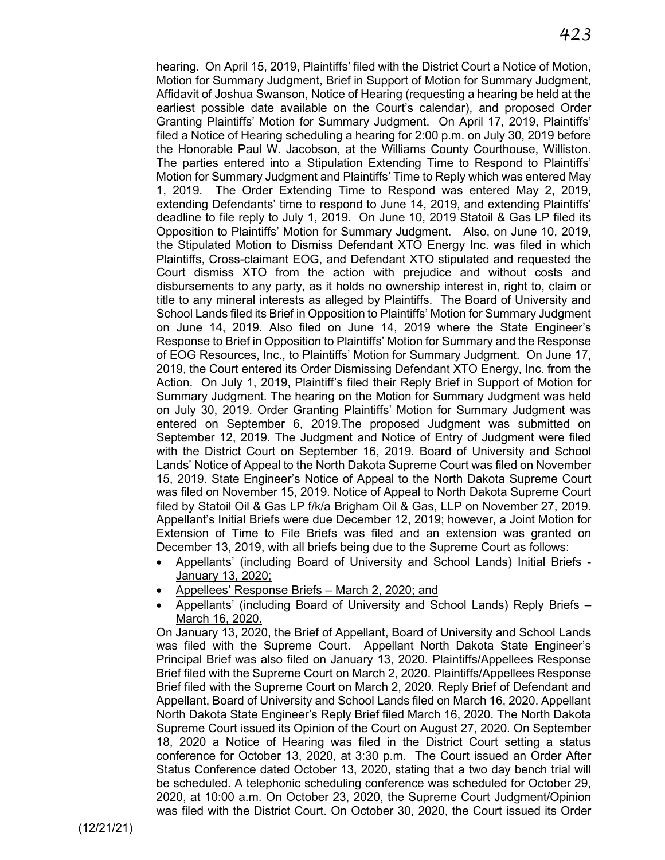hearing. On April 15, 2019, Plaintiffs' filed with the District Court a Notice of Motion, Motion for Summary Judgment, Brief in Support of Motion for Summary Judgment, Affidavit of Joshua Swanson, Notice of Hearing (requesting a hearing be held at the earliest possible date available on the Court's calendar), and proposed Order Granting Plaintiffs' Motion for Summary Judgment. On April 17, 2019, Plaintiffs' filed a Notice of Hearing scheduling a hearing for 2:00 p.m. on July 30, 2019 before the Honorable Paul W. Jacobson, at the Williams County Courthouse, Williston. The parties entered into a Stipulation Extending Time to Respond to Plaintiffs' Motion for Summary Judgment and Plaintiffs' Time to Reply which was entered May 1, 2019. The Order Extending Time to Respond was entered May 2, 2019, extending Defendants' time to respond to June 14, 2019, and extending Plaintiffs' deadline to file reply to July 1, 2019. On June 10, 2019 Statoil & Gas LP filed its Opposition to Plaintiffs' Motion for Summary Judgment. Also, on June 10, 2019, the Stipulated Motion to Dismiss Defendant XTO Energy Inc. was filed in which Plaintiffs, Cross-claimant EOG, and Defendant XTO stipulated and requested the Court dismiss XTO from the action with prejudice and without costs and disbursements to any party, as it holds no ownership interest in, right to, claim or title to any mineral interests as alleged by Plaintiffs. The Board of University and School Lands filed its Brief in Opposition to Plaintiffs' Motion for Summary Judgment on June 14, 2019. Also filed on June 14, 2019 where the State Engineer's Response to Brief in Opposition to Plaintiffs' Motion for Summary and the Response of EOG Resources, Inc., to Plaintiffs' Motion for Summary Judgment. On June 17, 2019, the Court entered its Order Dismissing Defendant XTO Energy, Inc. from the Action. On July 1, 2019, Plaintiff's filed their Reply Brief in Support of Motion for Summary Judgment. The hearing on the Motion for Summary Judgment was held on July 30, 2019. Order Granting Plaintiffs' Motion for Summary Judgment was entered on September 6, 2019.The proposed Judgment was submitted on September 12, 2019. The Judgment and Notice of Entry of Judgment were filed with the District Court on September 16, 2019. Board of University and School Lands' Notice of Appeal to the North Dakota Supreme Court was filed on November 15, 2019. State Engineer's Notice of Appeal to the North Dakota Supreme Court was filed on November 15, 2019. Notice of Appeal to North Dakota Supreme Court filed by Statoil Oil & Gas LP f/k/a Brigham Oil & Gas, LLP on November 27, 2019. Appellant's Initial Briefs were due December 12, 2019; however, a Joint Motion for Extension of Time to File Briefs was filed and an extension was granted on December 13, 2019, with all briefs being due to the Supreme Court as follows:

- Appellants' (including Board of University and School Lands) Initial Briefs January 13, 2020;
- Appellees' Response Briefs March 2, 2020; and
- Appellants' (including Board of University and School Lands) Reply Briefs March 16, 2020.

On January 13, 2020, the Brief of Appellant, Board of University and School Lands was filed with the Supreme Court. Appellant North Dakota State Engineer's Principal Brief was also filed on January 13, 2020. Plaintiffs/Appellees Response Brief filed with the Supreme Court on March 2, 2020. Plaintiffs/Appellees Response Brief filed with the Supreme Court on March 2, 2020. Reply Brief of Defendant and Appellant, Board of University and School Lands filed on March 16, 2020. Appellant North Dakota State Engineer's Reply Brief filed March 16, 2020. The North Dakota Supreme Court issued its Opinion of the Court on August 27, 2020. On September 18, 2020 a Notice of Hearing was filed in the District Court setting a status conference for October 13, 2020, at 3:30 p.m. The Court issued an Order After Status Conference dated October 13, 2020, stating that a two day bench trial will be scheduled. A telephonic scheduling conference was scheduled for October 29, 2020, at 10:00 a.m. On October 23, 2020, the Supreme Court Judgment/Opinion was filed with the District Court. On October 30, 2020, the Court issued its Order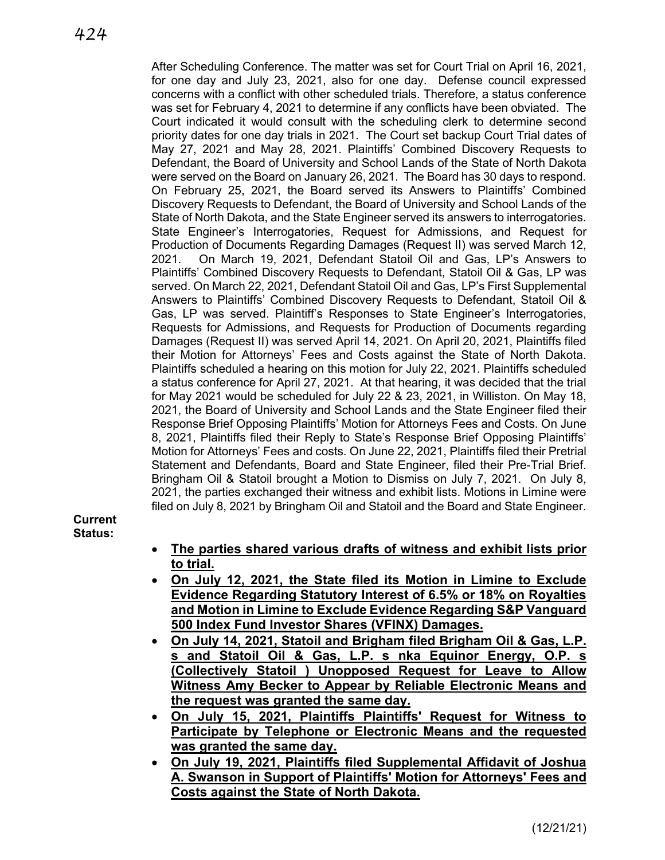*424*

After Scheduling Conference. The matter was set for Court Trial on April 16, 2021, for one day and July 23, 2021, also for one day. Defense council expressed concerns with a conflict with other scheduled trials. Therefore, a status conference was set for February 4, 2021 to determine if any conflicts have been obviated. The Court indicated it would consult with the scheduling clerk to determine second priority dates for one day trials in 2021. The Court set backup Court Trial dates of May 27, 2021 and May 28, 2021. Plaintiffs' Combined Discovery Requests to Defendant, the Board of University and School Lands of the State of North Dakota were served on the Board on January 26, 2021. The Board has 30 days to respond. On February 25, 2021, the Board served its Answers to Plaintiffs' Combined Discovery Requests to Defendant, the Board of University and School Lands of the State of North Dakota, and the State Engineer served its answers to interrogatories. State Engineer's Interrogatories, Request for Admissions, and Request for Production of Documents Regarding Damages (Request II) was served March 12, 2021. On March 19, 2021, Defendant Statoil Oil and Gas, LP's Answers to Plaintiffs' Combined Discovery Requests to Defendant, Statoil Oil & Gas, LP was served. On March 22, 2021, Defendant Statoil Oil and Gas, LP's First Supplemental Answers to Plaintiffs' Combined Discovery Requests to Defendant, Statoil Oil & Gas, LP was served. Plaintiff's Responses to State Engineer's Interrogatories, Requests for Admissions, and Requests for Production of Documents regarding Damages (Request II) was served April 14, 2021. On April 20, 2021, Plaintiffs filed their Motion for Attorneys' Fees and Costs against the State of North Dakota. Plaintiffs scheduled a hearing on this motion for July 22, 2021. Plaintiffs scheduled a status conference for April 27, 2021. At that hearing, it was decided that the trial for May 2021 would be scheduled for July 22 & 23, 2021, in Williston. On May 18, 2021, the Board of University and School Lands and the State Engineer filed their Response Brief Opposing Plaintiffs' Motion for Attorneys Fees and Costs. On June 8, 2021, Plaintiffs filed their Reply to State's Response Brief Opposing Plaintiffs' Motion for Attorneys' Fees and costs. On June 22, 2021, Plaintiffs filed their Pretrial Statement and Defendants, Board and State Engineer, filed their Pre-Trial Brief. Bringham Oil & Statoil brought a Motion to Dismiss on July 7, 2021. On July 8, 2021, the parties exchanged their witness and exhibit lists. Motions in Limine were filed on July 8, 2021 by Bringham Oil and Statoil and the Board and State Engineer.

# **Current Status:**

- **The parties shared various drafts of witness and exhibit lists prior to trial.**
- **On July 12, 2021, the State filed its Motion in Limine to Exclude Evidence Regarding Statutory Interest of 6.5% or 18% on Royalties and Motion in Limine to Exclude Evidence Regarding S&P Vanguard 500 Index Fund Investor Shares (VFINX) Damages.**
- **On July 14, 2021, Statoil and Brigham filed Brigham Oil & Gas, L.P. s and Statoil Oil & Gas, L.P. s nka Equinor Energy, O.P. s (Collectively Statoil ) Unopposed Request for Leave to Allow Witness Amy Becker to Appear by Reliable Electronic Means and the request was granted the same day.**
- **On July 15, 2021, Plaintiffs Plaintiffs' Request for Witness to Participate by Telephone or Electronic Means and the requested was granted the same day.**
- **On July 19, 2021, Plaintiffs filed Supplemental Affidavit of Joshua A. Swanson in Support of Plaintiffs' Motion for Attorneys' Fees and Costs against the State of North Dakota.**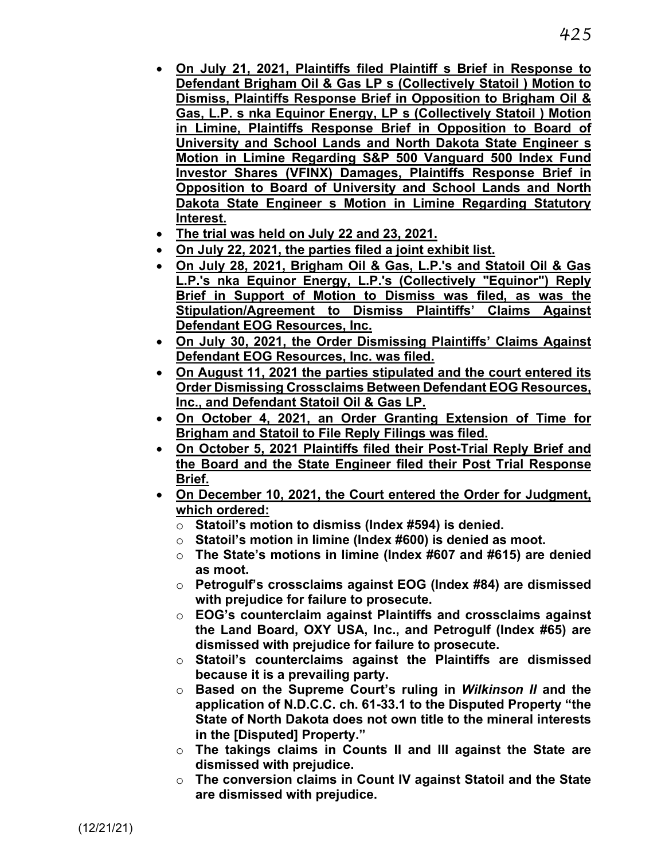- **On July 21, 2021, Plaintiffs filed Plaintiff s Brief in Response to Defendant Brigham Oil & Gas LP s (Collectively Statoil ) Motion to Dismiss, Plaintiffs Response Brief in Opposition to Brigham Oil & Gas, L.P. s nka Equinor Energy, LP s (Collectively Statoil ) Motion in Limine, Plaintiffs Response Brief in Opposition to Board of University and School Lands and North Dakota State Engineer s Motion in Limine Regarding S&P 500 Vanguard 500 Index Fund Investor Shares (VFINX) Damages, Plaintiffs Response Brief in Opposition to Board of University and School Lands and North Dakota State Engineer s Motion in Limine Regarding Statutory Interest.**
- **The trial was held on July 22 and 23, 2021.**
- **On July 22, 2021, the parties filed a joint exhibit list.**
- **On July 28, 2021, Brigham Oil & Gas, L.P.'s and Statoil Oil & Gas L.P.'s nka Equinor Energy, L.P.'s (Collectively "Equinor") Reply Brief in Support of Motion to Dismiss was filed, as was the Stipulation/Agreement to Dismiss Plaintiffs' Claims Against Defendant EOG Resources, Inc.**
- **On July 30, 2021, the Order Dismissing Plaintiffs' Claims Against Defendant EOG Resources, Inc. was filed.**
- **On August 11, 2021 the parties stipulated and the court entered its Order Dismissing Crossclaims Between Defendant EOG Resources, Inc., and Defendant Statoil Oil & Gas LP.**
- **On October 4, 2021, an Order Granting Extension of Time for Brigham and Statoil to File Reply Filings was filed.**
- **On October 5, 2021 Plaintiffs filed their Post-Trial Reply Brief and the Board and the State Engineer filed their Post Trial Response Brief.**
- **On December 10, 2021, the Court entered the Order for Judgment, which ordered:** 
	- o **Statoil's motion to dismiss (Index #594) is denied.**
	- o **Statoil's motion in limine (Index #600) is denied as moot.**
	- o **The State's motions in limine (Index #607 and #615) are denied as moot.**
	- o **Petrogulf's crossclaims against EOG (Index #84) are dismissed with prejudice for failure to prosecute.**
	- o **EOG's counterclaim against Plaintiffs and crossclaims against the Land Board, OXY USA, Inc., and Petrogulf (Index #65) are dismissed with prejudice for failure to prosecute.**
	- o **Statoil's counterclaims against the Plaintiffs are dismissed because it is a prevailing party.**
	- o **Based on the Supreme Court's ruling in** *Wilkinson II* **and the application of N.D.C.C. ch. 61-33.1 to the Disputed Property "the State of North Dakota does not own title to the mineral interests in the [Disputed] Property."**
	- o **The takings claims in Counts II and III against the State are dismissed with prejudice.**
	- o **The conversion claims in Count IV against Statoil and the State are dismissed with prejudice.**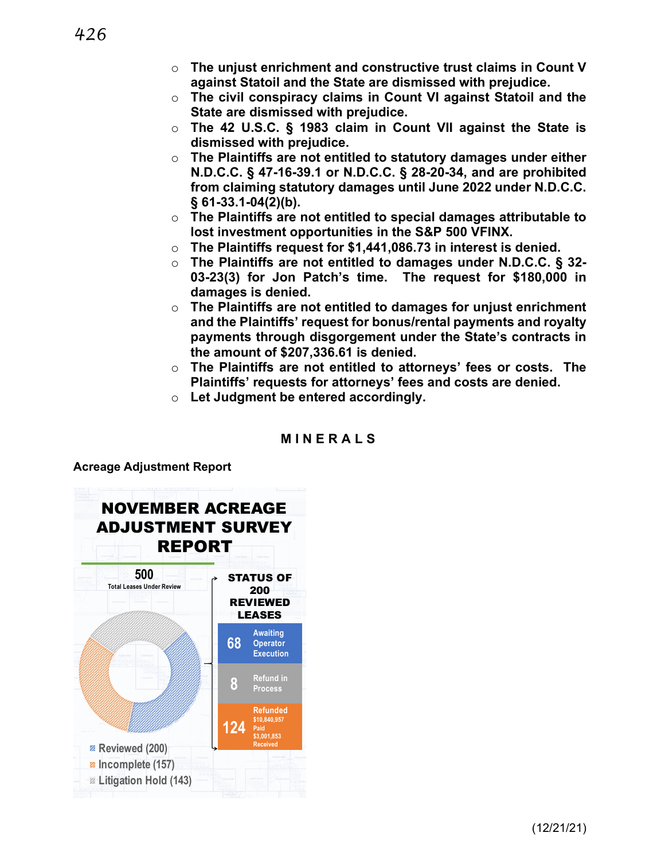- o **The unjust enrichment and constructive trust claims in Count V against Statoil and the State are dismissed with prejudice.**
- o **The civil conspiracy claims in Count VI against Statoil and the State are dismissed with prejudice.**
- o **The 42 U.S.C. § 1983 claim in Count VII against the State is dismissed with prejudice.**
- o **The Plaintiffs are not entitled to statutory damages under either N.D.C.C. § 47-16-39.1 or N.D.C.C. § 28-20-34, and are prohibited from claiming statutory damages until June 2022 under N.D.C.C. § 61-33.1-04(2)(b).**
- o **The Plaintiffs are not entitled to special damages attributable to lost investment opportunities in the S&P 500 VFINX.**
- o **The Plaintiffs request for \$1,441,086.73 in interest is denied.**
- o **The Plaintiffs are not entitled to damages under N.D.C.C. § 32- 03-23(3) for Jon Patch's time. The request for \$180,000 in damages is denied.**
- o **The Plaintiffs are not entitled to damages for unjust enrichment and the Plaintiffs' request for bonus/rental payments and royalty payments through disgorgement under the State's contracts in the amount of \$207,336.61 is denied.**
- o **The Plaintiffs are not entitled to attorneys' fees or costs. The Plaintiffs' requests for attorneys' fees and costs are denied.**
- o **Let Judgment be entered accordingly.**

# **MINERAL S**

**Acreage Adjustment Report**

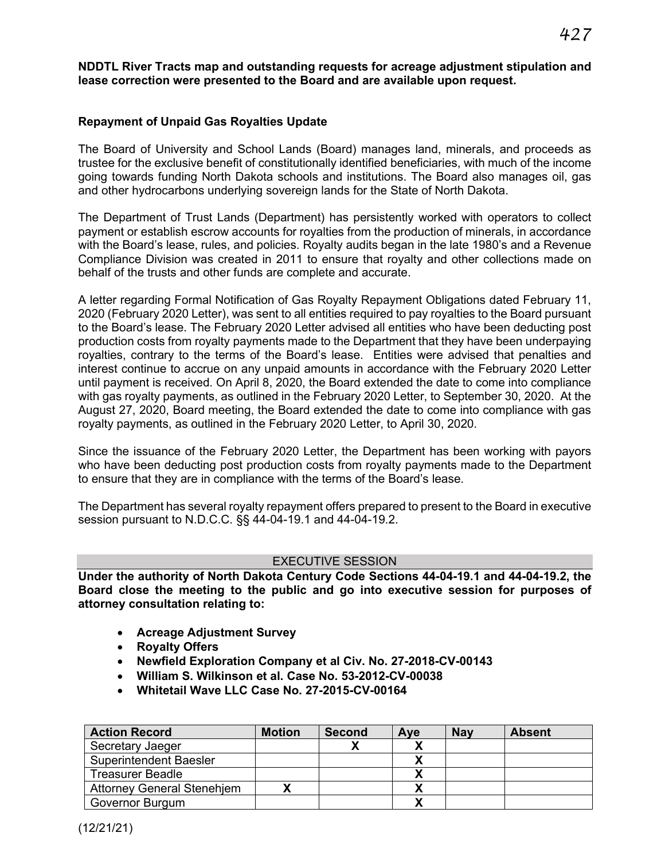**NDDTL River Tracts map and outstanding requests for acreage adjustment stipulation and lease correction were presented to the Board and are available upon request.**

### **Repayment of Unpaid Gas Royalties Update**

The Board of University and School Lands (Board) manages land, minerals, and proceeds as trustee for the exclusive benefit of constitutionally identified beneficiaries, with much of the income going towards funding North Dakota schools and institutions. The Board also manages oil, gas and other hydrocarbons underlying sovereign lands for the State of North Dakota.

The Department of Trust Lands (Department) has persistently worked with operators to collect payment or establish escrow accounts for royalties from the production of minerals, in accordance with the Board's lease, rules, and policies. Royalty audits began in the late 1980's and a Revenue Compliance Division was created in 2011 to ensure that royalty and other collections made on behalf of the trusts and other funds are complete and accurate.

A letter regarding Formal Notification of Gas Royalty Repayment Obligations dated February 11, 2020 (February 2020 Letter), was sent to all entities required to pay royalties to the Board pursuant to the Board's lease. The February 2020 Letter advised all entities who have been deducting post production costs from royalty payments made to the Department that they have been underpaying royalties, contrary to the terms of the Board's lease. Entities were advised that penalties and interest continue to accrue on any unpaid amounts in accordance with the February 2020 Letter until payment is received. On April 8, 2020, the Board extended the date to come into compliance with gas royalty payments, as outlined in the February 2020 Letter, to September 30, 2020. At the August 27, 2020, Board meeting, the Board extended the date to come into compliance with gas royalty payments, as outlined in the February 2020 Letter, to April 30, 2020.

Since the issuance of the February 2020 Letter, the Department has been working with payors who have been deducting post production costs from royalty payments made to the Department to ensure that they are in compliance with the terms of the Board's lease.

The Department has several royalty repayment offers prepared to present to the Board in executive session pursuant to N.D.C.C. §§ 44-04-19.1 and 44-04-19.2.

### EXECUTIVE SESSION

**Under the authority of North Dakota Century Code Sections 44-04-19.1 and 44-04-19.2, the Board close the meeting to the public and go into executive session for purposes of attorney consultation relating to:**

- **Acreage Adjustment Survey**
- **Royalty Offers**
- **Newfield Exploration Company et al Civ. No. 27-2018-CV-00143**
- **William S. Wilkinson et al. Case No. 53-2012-CV-00038**
- **Whitetail Wave LLC Case No. 27-2015-CV-00164**

| <b>Action Record</b>              | <b>Motion</b> | <b>Second</b> | Ave | <b>Nav</b> | <b>Absent</b> |
|-----------------------------------|---------------|---------------|-----|------------|---------------|
| Secretary Jaeger                  |               |               |     |            |               |
| <b>Superintendent Baesler</b>     |               |               |     |            |               |
| <b>Treasurer Beadle</b>           |               |               |     |            |               |
| <b>Attorney General Stenehjem</b> |               |               |     |            |               |
| Governor Burgum                   |               |               |     |            |               |